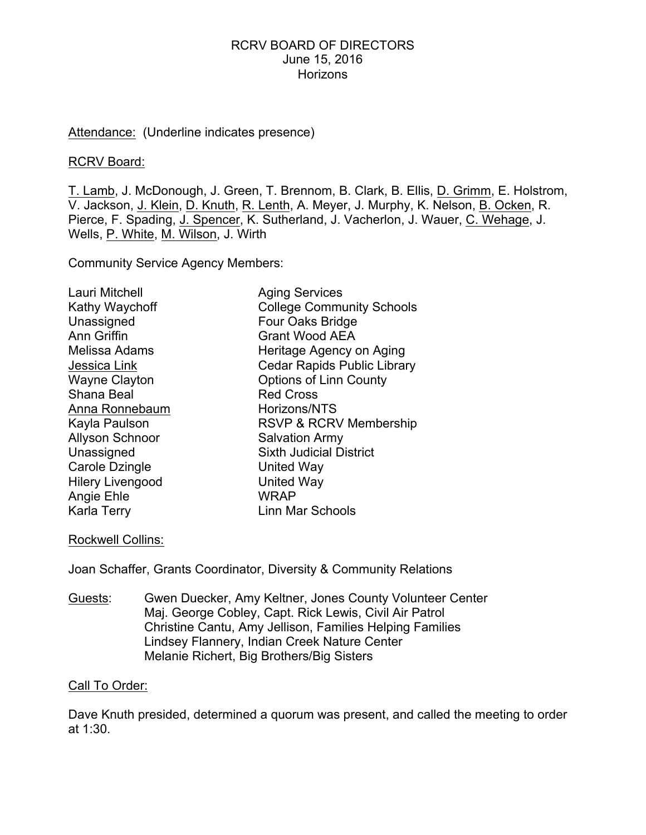#### Attendance: (Underline indicates presence)

#### RCRV Board:

T. Lamb, J. McDonough, J. Green, T. Brennom, B. Clark, B. Ellis, D. Grimm, E. Holstrom, V. Jackson, J. Klein, D. Knuth, R. Lenth, A. Meyer, J. Murphy, K. Nelson, B. Ocken, R. Pierce, F. Spading, J. Spencer, K. Sutherland, J. Vacherlon, J. Wauer, C. Wehage, J. Wells, P. White, M. Wilson, J. Wirth

Community Service Agency Members:

| Lauri Mitchell          | <b>Aging Services</b>              |
|-------------------------|------------------------------------|
| Kathy Waychoff          | <b>College Community Schools</b>   |
| Unassigned              | Four Oaks Bridge                   |
| <b>Ann Griffin</b>      | <b>Grant Wood AEA</b>              |
| Melissa Adams           | Heritage Agency on Aging           |
| Jessica Link            | <b>Cedar Rapids Public Library</b> |
| <b>Wayne Clayton</b>    | <b>Options of Linn County</b>      |
| Shana Beal              | <b>Red Cross</b>                   |
| Anna Ronnebaum          | Horizons/NTS                       |
| Kayla Paulson           | RSVP & RCRV Membership             |
| <b>Allyson Schnoor</b>  | <b>Salvation Army</b>              |
| Unassigned              | <b>Sixth Judicial District</b>     |
| Carole Dzingle          | United Way                         |
| <b>Hilery Livengood</b> | <b>United Way</b>                  |
| Angie Ehle              | <b>WRAP</b>                        |
| Karla Terry             | Linn Mar Schools                   |

### Rockwell Collins:

Joan Schaffer, Grants Coordinator, Diversity & Community Relations

Guests: Gwen Duecker, Amy Keltner, Jones County Volunteer Center Maj. George Cobley, Capt. Rick Lewis, Civil Air Patrol Christine Cantu, Amy Jellison, Families Helping Families Lindsey Flannery, Indian Creek Nature Center Melanie Richert, Big Brothers/Big Sisters

# Call To Order:

Dave Knuth presided, determined a quorum was present, and called the meeting to order at 1:30.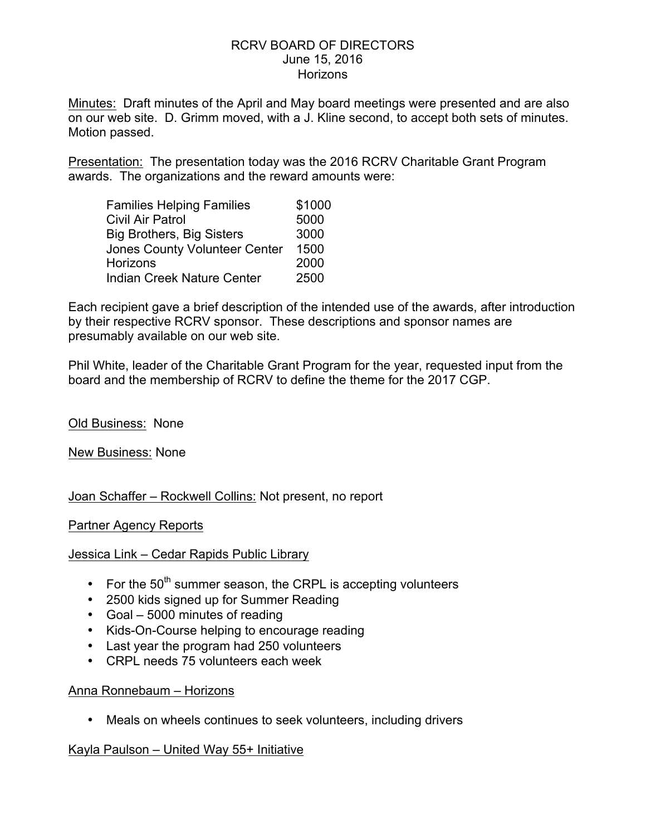Minutes: Draft minutes of the April and May board meetings were presented and are also on our web site. D. Grimm moved, with a J. Kline second, to accept both sets of minutes. Motion passed.

Presentation: The presentation today was the 2016 RCRV Charitable Grant Program awards. The organizations and the reward amounts were:

| <b>Families Helping Families</b>     | \$1000 |
|--------------------------------------|--------|
| <b>Civil Air Patrol</b>              | 5000   |
| <b>Big Brothers, Big Sisters</b>     | 3000   |
| <b>Jones County Volunteer Center</b> | 1500   |
| <b>Horizons</b>                      | 2000   |
| Indian Creek Nature Center           | 2500   |

Each recipient gave a brief description of the intended use of the awards, after introduction by their respective RCRV sponsor. These descriptions and sponsor names are presumably available on our web site.

Phil White, leader of the Charitable Grant Program for the year, requested input from the board and the membership of RCRV to define the theme for the 2017 CGP.

Old Business: None

New Business: None

Joan Schaffer – Rockwell Collins: Not present, no report

Partner Agency Reports

Jessica Link – Cedar Rapids Public Library

- For the  $50<sup>th</sup>$  summer season, the CRPL is accepting volunteers
- 2500 kids signed up for Summer Reading
- Goal 5000 minutes of reading
- Kids-On-Course helping to encourage reading
- Last year the program had 250 volunteers
- CRPL needs 75 volunteers each week

### Anna Ronnebaum – Horizons

• Meals on wheels continues to seek volunteers, including drivers

Kayla Paulson – United Way 55+ Initiative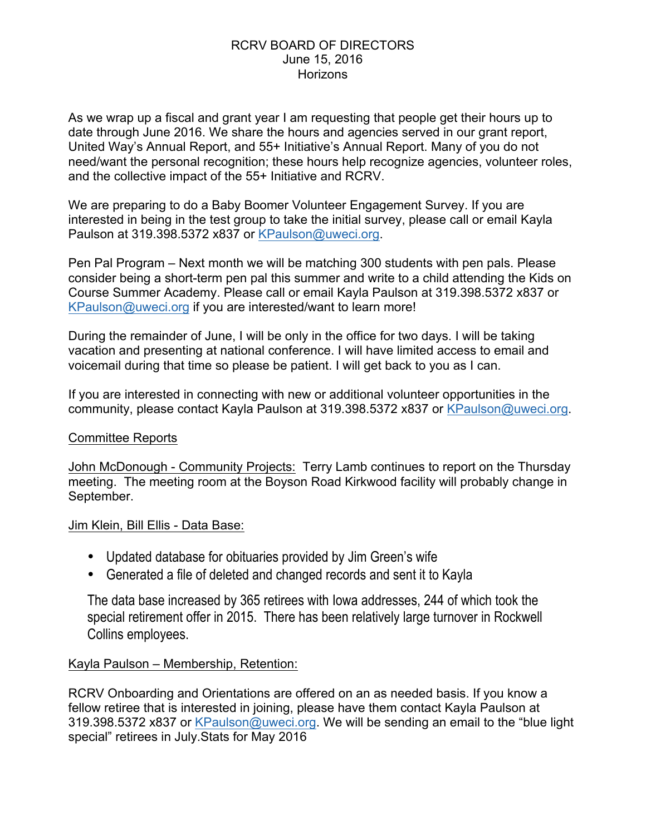As we wrap up a fiscal and grant year I am requesting that people get their hours up to date through June 2016. We share the hours and agencies served in our grant report, United Way's Annual Report, and 55+ Initiative's Annual Report. Many of you do not need/want the personal recognition; these hours help recognize agencies, volunteer roles, and the collective impact of the 55+ Initiative and RCRV.

We are preparing to do a Baby Boomer Volunteer Engagement Survey. If you are interested in being in the test group to take the initial survey, please call or email Kayla Paulson at 319.398.5372 x837 or KPaulson@uweci.org.

Pen Pal Program – Next month we will be matching 300 students with pen pals. Please consider being a short-term pen pal this summer and write to a child attending the Kids on Course Summer Academy. Please call or email Kayla Paulson at 319.398.5372 x837 or KPaulson@uweci.org if you are interested/want to learn more!

During the remainder of June, I will be only in the office for two days. I will be taking vacation and presenting at national conference. I will have limited access to email and voicemail during that time so please be patient. I will get back to you as I can.

If you are interested in connecting with new or additional volunteer opportunities in the community, please contact Kayla Paulson at 319.398.5372 x837 or KPaulson@uweci.org.

# Committee Reports

John McDonough - Community Projects: Terry Lamb continues to report on the Thursday meeting. The meeting room at the Boyson Road Kirkwood facility will probably change in September.

# Jim Klein, Bill Ellis - Data Base:

- Updated database for obituaries provided by Jim Green's wife
- Generated a file of deleted and changed records and sent it to Kayla

The data base increased by 365 retirees with Iowa addresses, 244 of which took the special retirement offer in 2015. There has been relatively large turnover in Rockwell Collins employees.

# Kayla Paulson – Membership, Retention:

RCRV Onboarding and Orientations are offered on an as needed basis. If you know a fellow retiree that is interested in joining, please have them contact Kayla Paulson at 319.398.5372 x837 or KPaulson@uweci.org. We will be sending an email to the "blue light special" retirees in July.Stats for May 2016